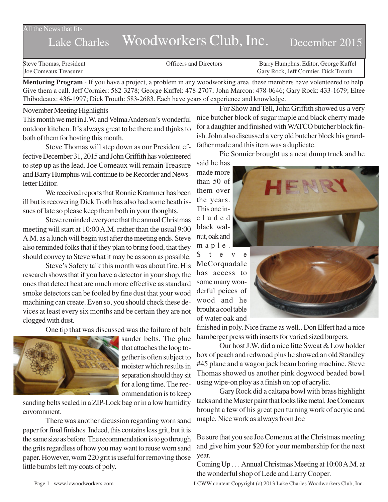All the News that fits

# Lake Charles Woodworkers Club, Inc. December 2015

Steve Thomas, President The Steve Thomas, President Contractors Conficers and Directors Barry Humphus, Editor, George Kuffel<br>Steve Configuration Carv Rock. Jeff Cormier. Dick Trouth Gary Rock, Jeff Cormier, Dick Trouth

**Mentoring Program** - If you have a project, a problem in any woodworking area, these members have volenteered to help. Give them a call. Jeff Cormier: 582-3278; George Kuffel: 478-2707; John Marcon: 478-0646; Gary Rock: 433-1679; Eltee Thibodeaux: 436-1997; Dick Trouth: 583-2683. Each have years of experience and knowledge.

#### November Meeting Highlights

This month we met in J.W. and Velma Anderson's wonderful outdoor kitchen. It's always great to be there and thjnks to both of them for hosting this month.

Steve Thomas will step down as our President effective December 31, 2015 and John Griffith has volenteered to step up as the lead. Joe Comeaux will remain Treasure and Barry Humphus will continue to be Recorder and Newsletter Editor.

We received reports that Ronnie Krammer has been ill but is recovering Dick Troth has also had some heath issues of late so please keep them both in your thoughts.

Steve reminded everyone that the annual Christmas meeting will start at 10:00 A.M. rather than the usual 9:00 A.M. as a lunch will begin just after the meeting ends. Steve also reminded folks that if they plan to bring food, that they should convey to Steve what it may be as soon as possible.

Steve's Safety talk this month was about fire. His research shows that if you have a detector in your shop, the ones that detect heat are much more effective as standard smoke detectors can be fooled by fine dust that your wood machining can create. Even so, you should check these devices at least every six months and be certain they are not clogged with dust.

One tip that was discussed was the failure of belt



sander belts. The glue that attaches the loop together is often subject to moister which results in separation should they sit for a long time. The recommendation is to keep

sanding belts sealed in a ZIP-Lock bag or in a low humidity envoronment.

There was another dicussion regarding worn sand paper for final finishes. Indeed, this contains less grit, but it is the same size as before. The recommendation is to go through the grits regardless of how you may want to reuse worn sand paper. However, worn 220 grit is useful for removing those little bumbs left my coats of poly.

For Show and Tell, John Griffith showed us a very nice butcher block of sugar maple and black cherry made for a daughter and finished with WATCO butcher block finish. John also discussed a very old butcher block his grandfather made and this item was a duplicate.

Pie Sonnier brought us a neat dump truck and he

said he has made more than 50 of them over the years. This one included black walnut, oak and maple.

S t e v e McCorquadale has access to some many wonderful peices of wood and he brouht a cool table of water oak and



finished in poly. Nice frame as well.. Don Elfert had a nice hamberger press with inserts for varied sized burgers.

Our host J.W. did a nice litte Sweat & Low holder box of peach and redwood plus he showed an old Standley #45 plane and a wagon jack beam boring machine. Steve Thomas showed us another pink dogwood beaded bowl using wipe-on ploy as a finish on top of acrylic.

Gary Rock did a caltapa bowl with brass highlight tacks and the Master paint that looks like metal. Joe Comeaux brought a few of his great pen turning work of acryic and maple. Nice work as always from Joe

Be sure that you see Joe Comeaux at the Christmas meeting and give him your \$20 for your membership for the next year.

Coming Up . . . Annual Christmas Meeting at 10:00 A.M. at the wonderful shop of Lede and Larry Cooper.

Page 1 www.lcwoodworkers.com LCWW content Copyright (c) 2013 Lake Charles Woodworkers Club, Inc.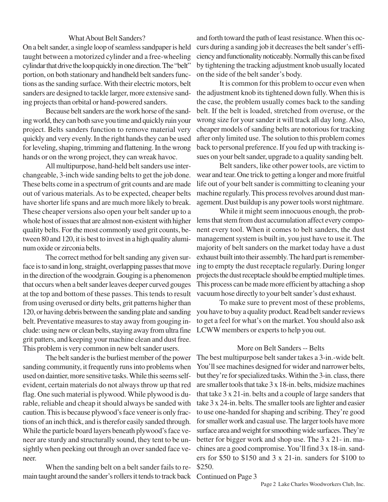# What About Belt Sanders?

On a belt sander, a single loop of seamless sandpaper is held taught between a motorized cylinder and a free-wheeling cylindar that drive the loop quickly in one direction. The "belt" portion, on both stationary and handheld belt sanders functions as the sanding surface. With their electric motors, belt sanders are designed to tackle larger, more extensive sanding projects than orbital or hand-powered sanders.

Because belt sanders are the work horse of the sanding world, they can both save you time and quickly ruin your project. Belts sanders function to remove material very quickly and very evenly. In the right hands they can be used for leveling, shaping, trimming and flattening. In the wrong hands or on the wrong project, they can wreak havoc.

All multipurpose, hand-held belt sanders use interchangeable, 3-inch wide sanding belts to get the job done. These belts come in a spectrum of grit counts and are made out of various materials. As to be expected, cheaper belts have shorter life spans and are much more likely to break. These cheaper versions also open your belt sander up to a whole host of issues that are almost non-existent with higher quality belts. For the most commonly used grit counts, between 80 and 120, it is best to invest in a high quality aluminum oxide or zirconia belts.

The correct method for belt sanding any given surface is to sand in long, straight, overlapping passes that move in the direction of the woodgrain. Gouging is a phenomenon that occurs when a belt sander leaves deeper curved gouges at the top and bottom of these passes. This tends to result from using overused or dirty belts, grit patterns higher than 120, or having debris between the sanding plate and sanding belt. Preventative measures to stay away from gouging include: using new or clean belts, staying away from ultra fine grit patters, and keeping your machine clean and dust free. This problem is very common in new belt sander users.

The belt sander is the burliest member of the power sanding community, it frequently runs into problems when used on daintier, more sensitive tasks. While this seems selfevident, certain materials do not always throw up that red flag. One such material is plywood. While plywood is durable, reliable and cheap it should always be sanded with caution. This is because plywood's face veneer is only fractions of an inch thick, and is therefor easily sanded through. While the particle board layers beneath plywood's face veneer are sturdy and structurally sound, they tent to be unsightly when peeking out through an over sanded face veneer.

When the sanding belt on a belt sander fails to remain taught around the sander's rollers it tends to track back Continued on Page 3

and forth toward the path of least resistance. When this occurs during a sanding job it decreases the belt sander's efficiency and functionality noticeably. Normally this can be fixed by tightening the tracking adjustment knob usually located on the side of the belt sander's body.

It is common for this problem to occur even when the adjustment knob its tightened down fully. When this is the case, the problem usually comes back to the sanding belt. If the belt is loaded, stretched from overuse, or the wrong size for your sander it will track all day long. Also, cheaper models of sanding belts are notorious for tracking after only limited use. The solution to this problem comes back to personal preference. If you fed up with tracking issues on your belt sander, upgrade to a quality sanding belt.

Belt sanders, like other power tools, are victim to wear and tear. One trick to getting a longer and more fruitful life out of your belt sander is committing to cleaning your machine regularly. This process revolves around dust management. Dust buildup is any power tools worst nightmare.

While it might seem innocuous enough, the problems that stem from dust accumulation affect every component every tool. When it comes to belt sanders, the dust management system is built in, you just have to use it. The majority of belt sanders on the market today have a dust exhaust built into their assembly. The hard part is remembering to empty the dust receptacle regularly. During longer projects the dust receptacle should be emptied multiple times. This process can be made more efficient by attaching a shop vacuum hose directly to your belt sander's dust exhaust.

To make sure to prevent most of these problems, you have to buy a quality product. Read belt sander reviews to get a feel for what's on the market. You should also ask LCWW members or experts to help you out.

### More on Belt Sanders -- Belts

The best multipurpose belt sander takes a 3-in.-wide belt. You'll see machines designed for wider and narrower belts, but they're for specialized tasks. Within the 3-in. class, there are smaller tools that take 3 x 18-in. belts, midsize machines that take 3 x 21-in. belts and a couple of large sanders that take 3 x 24-in. belts. The smaller tools are lighter and easier to use one-handed for shaping and scribing. They're good for smaller work and casual use. The larger tools have more surface area and weight for smoothing wide surfaces. They're better for bigger work and shop use. The 3 x 21- in. machines are a good compromise. You'll find 3 x 18-in. sanders for \$50 to \$150 and 3 x 21-in. sanders for \$100 to \$250.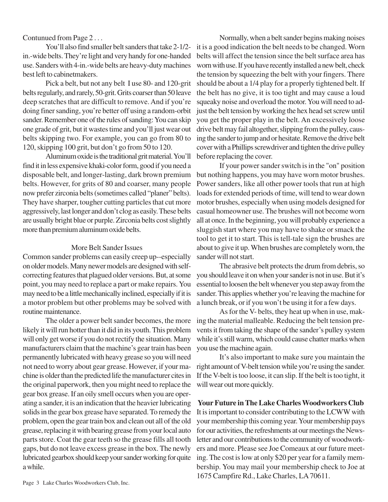# Contunued from Page 2 . . .

You'll also find smaller belt sanders that take 2-1/2 in.-wide belts. They're light and very handy for one-handed use. Sanders with 4-in.-wide belts are heavy-duty machines best left to cabinetmakers.

Pick a belt, but not any belt I use 80- and 120-grit belts regularly, and rarely, 50-grit. Grits coarser than 50 leave deep scratches that are difficult to remove. And if you're doing finer sanding, you're better off using a random-orbit sander. Remember one of the rules of sanding: You can skip one grade of grit, but it wastes time and you'll just wear out belts skipping two. For example, you can go from 80 to 120, skipping 100 grit, but don't go from 50 to 120.

Aluminum oxide is the traditional grit material. You'll find it in less expensive khaki-color form, good if you need a disposable belt, and longer-lasting, dark brown premium belts. However, for grits of 80 and coarser, many people now prefer zirconia belts (sometimes called "planer" belts). They have sharper, tougher cutting particles that cut more aggressively, last longer and don't clog as easily. These belts are usually bright blue or purple. Zirconia belts cost slightly more than premium aluminum oxide belts.

## More Belt Sander Issues

Common sander problems can easily creep up--especially on older models. Many newer models are designed with selfcorrecting features that plagued older versions. But, at some point, you may need to replace a part or make repairs. You may need to be a little mechanically inclined, especially if it is a motor problem but other problems may be solved with routine maintenance.

The older a power belt sander becomes, the more likely it will run hotter than it did in its youth. This problem will only get worse if you do not rectify the situation. Many manufacturers claim that the machine's gear train has been permanently lubricated with heavy grease so you will need not need to worry about gear grease. However, if your machine is older than the predicted life the manufacturer cites in the original paperwork, then you might need to replace the gear box grease. If an oily smell occurs when you are operating a sander, it is an indication that the heavier lubricating solids in the gear box grease have separated. To remedy the problem, open the gear train box and clean out all of the old grease, replacing it with bearing grease from your local auto parts store. Coat the gear teeth so the grease fills all tooth gaps, but do not leave excess grease in the box. The newly lubricated gearbox should keep your sander working for quite a while.

Normally, when a belt sander begins making noises it is a good indication the belt needs to be changed. Worn belts will affect the tension since the belt surface area has worn with use. If you have recently installed a new belt, check the tension by squeezing the belt with your fingers. There should be about a 1/4 play for a properly tightened belt. If the belt has no give, it is too tight and may cause a loud squeaky noise and overload the motor. You will need to adjust the belt tension by working the hex head set screw until you get the proper play in the belt. An excessively loose drive belt may fail altogether, slipping from the pulley, causing the sander to jump and or hesitate. Remove the drive belt cover with a Phillips screwdriver and tighten the drive pulley before replacing the cover.

If your power sander switch is in the "on" position but nothing happens, you may have worn motor brushes. Power sanders, like all other power tools that run at high loads for extended periods of time, will tend to wear down motor brushes, especially when using models designed for casual homeowner use. The brushes will not become worn all at once. In the beginning, you will probably experience a sluggish start where you may have to shake or smack the tool to get it to start. This is tell-tale sign the brushes are about to give it up. When brushes are completely worn, the sander will not start.

The abrasive belt protects the drum from debris, so you should leave it on when your sander is not in use. But it's essential to loosen the belt whenever you step away from the sander. This applies whether you're leaving the machine for a lunch break, or if you won't be using it for a few days.

As for the V- belts, they heat up when in use, making the material malleable. Reducing the belt tension prevents it from taking the shape of the sander's pulley system while it's still warm, which could cause chatter marks when you use the machine again.

It's also important to make sure you maintain the right amount of V-belt tension while you're using the sander. If the V-belt is too loose, it can slip. If the belt is too tight, it will wear out more quickly.

**Your Future in The Lake Charles Woodworkers Club** It is important to consider contributing to the LCWW with your membership this coming year. Your membership pays for our activities, the refreshments at our meetings the Newsletter and our contributions to the community of woodworkers and more. Please see Joe Comeaux at our future meeting. The cost is low at only \$20 per year for a family membership. You may mail your membership check to Joe at 1675 Campfire Rd., Lake Charles, LA 70611.